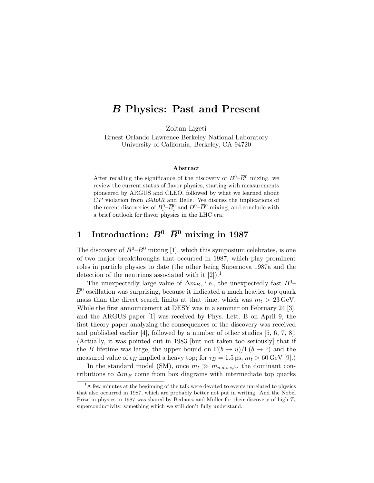# B Physics: Past and Present

Zoltan Ligeti

Ernest Orlando Lawrence Berkeley National Laboratory University of California, Berkeley, CA 94720

#### Abstract

After recalling the significance of the discovery of  $B^0-\overline{B}{}^0$  mixing, we review the current status of flavor physics, starting with measurements pioneered by ARGUS and CLEO, followed by what we learned about CP violation from BABAR and Belle. We discuss the implications of the recent discoveries of  $B_s^0$ - $\overline{B}_s^0$  and  $D^0$ - $\overline{D}^0$  mixing, and conclude with a brief outlook for flavor physics in the LHC era.

# 1 Introduction:  $B^0$ – $\overline{B}{}^0$  mixing in 1987

The discovery of  $B^0$ – $\overline{B}^0$  mixing [1], which this symposium celebrates, is one of two major breakthroughs that occurred in 1987, which play prominent roles in particle physics to date (the other being Supernova 1987a and the detection of the neutrinos associated with it  $[2]$ .<sup>1</sup>

The unexpectedly large value of  $\Delta m_B$ , i.e., the unexpectedly fast  $B^0$ –  $\bar{B}^0$  oscillation was surprising, because it indicated a much heavier top quark mass than the direct search limits at that time, which was  $m_t > 23 \,\text{GeV}$ . While the first announcement at DESY was in a seminar on February 24 [3], and the ARGUS paper [1] was received by Phys. Lett. B on April 9, the first theory paper analyzing the consequences of the discovery was received and published earlier [4], followed by a number of other studies [5, 6, 7, 8]. (Actually, it was pointed out in 1983 [but not taken too seriously] that if the B lifetime was large, the upper bound on  $\Gamma(b \to u)/\Gamma(b \to c)$  and the measured value of  $\epsilon_K$  implied a heavy top; for  $\tau_B = 1.5$  ps,  $m_t > 60$  GeV [9].)

In the standard model (SM), once  $m_t \gg m_{u,d,s,c,b}$ , the dominant contributions to  $\Delta m_B$  come from box diagrams with intermediate top quarks

<sup>&</sup>lt;sup>1</sup>A few minutes at the beginning of the talk were devoted to events unrelated to physics that also occurred in 1987, which are probably better not put in writing. And the Nobel Prize in physics in 1987 was shared by Bednorz and Müller for their discovery of high- $T_c$ superconductivity, something which we still don't fully understand.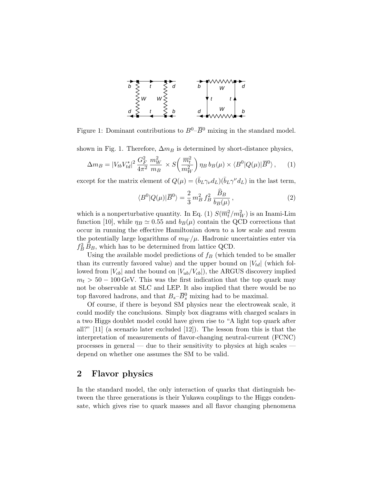

Figure 1: Dominant contributions to  $B^0$ – $\overline{B}{}^0$  mixing in the standard model.

shown in Fig. 1. Therefore,  $\Delta m_B$  is determined by short-distance physics,

$$
\Delta m_B = |V_{tb}V_{td}^*|^2 \frac{G_F^2}{4\pi^2} \frac{m_W^2}{m_B} \times S\left(\frac{\overline{m}_t^2}{m_W^2}\right) \eta_B b_B(\mu) \times \langle B^0|Q(\mu)|\overline{B}^0\rangle, \tag{1}
$$

except for the matrix element of  $Q(\mu) = (\bar{b}_L \gamma_{\nu} d_L)(\bar{b}_L \gamma^{\nu} d_L)$  in the last term,

$$
\langle B^{0}|Q(\mu)|\overline{B}^{0}\rangle = \frac{2}{3}m_{B}^{2}f_{B}^{2}\frac{\overline{B}_{B}}{b_{B}(\mu)},
$$
\n(2)

which is a nonperturbative quantity. In Eq. (1)  $S(\overline{m}_t^2/m_W^2)$  is an Inami-Lim function [10], while  $\eta_B \simeq 0.55$  and  $b_B(\mu)$  contain the QCD corrections that occur in running the effective Hamiltonian down to a low scale and resum the potentially large logarithms of  $m_W/\mu$ . Hadronic uncertainties enter via  $f_B^2 \hat{B}_B$ , which has to be determined from lattice QCD.

Using the available model predictions of  $f_B$  (which tended to be smaller than its currently favored value) and the upper bound on  $|V_{td}|$  (which followed from  $|V_{cb}|$  and the bound on  $|V_{ub}/V_{cb}|$ , the ARGUS discovery implied  $m_t > 50 - 100 \,\text{GeV}$ . This was the first indication that the top quark may not be observable at SLC and LEP. It also implied that there would be no top flavored hadrons, and that  $B_s - \overline{B}_s^0$  mixing had to be maximal.

Of course, if there is beyond SM physics near the electroweak scale, it could modify the conclusions. Simply box diagrams with charged scalars in a two Higgs doublet model could have given rise to "A light top quark after all?" [11] (a scenario later excluded [12]). The lesson from this is that the interpretation of measurements of flavor-changing neutral-current (FCNC) processes in general — due to their sensitivity to physics at high scales depend on whether one assumes the SM to be valid.

### 2 Flavor physics

In the standard model, the only interaction of quarks that distinguish between the three generations is their Yukawa couplings to the Higgs condensate, which gives rise to quark masses and all flavor changing phenomena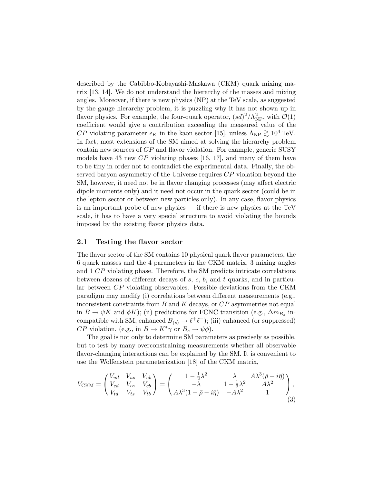described by the Cabibbo-Kobayashi-Maskawa (CKM) quark mixing matrix [13, 14]. We do not understand the hierarchy of the masses and mixing angles. Moreover, if there is new physics (NP) at the TeV scale, as suggested by the gauge hierarchy problem, it is puzzling why it has not shown up in flavor physics. For example, the four-quark operator,  $(s\bar{d})^2/\Lambda_{\rm NP}^2$ , with  $\mathcal{O}(1)$ coefficient would give a contribution exceeding the measured value of the CP violating parameter  $\epsilon_K$  in the kaon sector [15], unless  $\Lambda_{\rm NP} \gtrsim 10^4$  TeV. In fact, most extensions of the SM aimed at solving the hierarchy problem contain new sources of CP and flavor violation. For example, generic SUSY models have 43 new  $\mathbb{CP}$  violating phases [16, 17], and many of them have to be tiny in order not to contradict the experimental data. Finally, the observed baryon asymmetry of the Universe requires  $CP$  violation beyond the SM, however, it need not be in flavor changing processes (may affect electric dipole moments only) and it need not occur in the quark sector (could be in the lepton sector or between new particles only). In any case, flavor physics is an important probe of new physics — if there is new physics at the TeV scale, it has to have a very special structure to avoid violating the bounds imposed by the existing flavor physics data.

#### 2.1 Testing the flavor sector

The flavor sector of the SM contains 10 physical quark flavor parameters, the 6 quark masses and the 4 parameters in the CKM matrix, 3 mixing angles and 1 CP violating phase. Therefore, the SM predicts intricate correlations between dozens of different decays of  $s, c, b$ , and  $t$  quarks, and in particular between CP violating observables. Possible deviations from the CKM paradigm may modify (i) correlations between different measurements (e.g., inconsistent constraints from  $B$  and  $K$  decays, or  $CP$  asymmetries not equal in  $B \to \psi K$  and  $\phi K$ ); (ii) predictions for FCNC transition (e.g.,  $\Delta m_{B_s}$  incompatible with SM, enhanced  $B_{(s)} \to \ell^+ \ell^-$ ; (iii) enhanced (or suppressed) *CP* violation, (e.g., in  $B \to K^*\gamma$  or  $B_s \to \psi \phi$ ).

The goal is not only to determine SM parameters as precisely as possible, but to test by many overconstraining measurements whether all observable flavor-changing interactions can be explained by the SM. It is convenient to use the Wolfenstein parameterization [18] of the CKM matrix,

$$
V_{\text{CKM}} = \begin{pmatrix} V_{ud} & V_{us} & V_{ub} \\ V_{cd} & V_{cs} & V_{cb} \\ V_{td} & V_{ts} & V_{tb} \end{pmatrix} = \begin{pmatrix} 1 - \frac{1}{2}\lambda^2 & \lambda & A\lambda^3(\bar{\rho} - i\bar{\eta}) \\ -\lambda & 1 - \frac{1}{2}\lambda^2 & A\lambda^2 \\ A\lambda^3(1 - \bar{\rho} - i\bar{\eta}) & -A\lambda^2 & 1 \end{pmatrix},
$$
\n(3)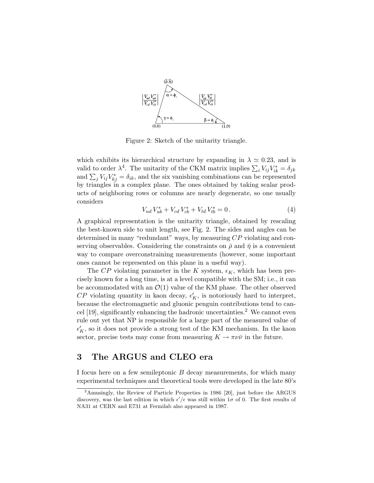

Figure 2: Sketch of the unitarity triangle.

which exhibits its hierarchical structure by expanding in  $\lambda \simeq 0.23$ , and is valid to order  $\lambda^4$ . The unitarity of the CKM matrix implies  $\sum_i V_{ij} V_{ik}^* = \delta_{jk}$ and  $\sum_j V_{ij} V_{kj}^* = \delta_{ik}$ , and the six vanishing combinations can be represented by triangles in a complex plane. The ones obtained by taking scalar products of neighboring rows or columns are nearly degenerate, so one usually considers

$$
V_{ud} V_{ub}^* + V_{cd} V_{cb}^* + V_{td} V_{tb}^* = 0.
$$
\n<sup>(4)</sup>

A graphical representation is the unitarity triangle, obtained by rescaling the best-known side to unit length, see Fig. 2. The sides and angles can be determined in many "redundant" ways, by measuring CP violating and conserving observables. Considering the constraints on  $\bar{\rho}$  and  $\bar{\eta}$  is a convenient way to compare overconstraining measurements (however, some important ones cannot be represented on this plane in a useful way).

The CP violating parameter in the K system,  $\epsilon_K$ , which has been precisely known for a long time, is at a level compatible with the SM; i.e., it can be accommodated with an  $\mathcal{O}(1)$  value of the KM phase. The other observed  $CP$  violating quantity in kaon decay,  $\epsilon_K'$ , is notoriously hard to interpret, because the electromagnetic and gluonic penguin contributions tend to cancel  $[19]$ , significantly enhancing the hadronic uncertainties.<sup>2</sup> We cannot even rule out yet that NP is responsible for a large part of the measured value of  $\epsilon_K',$  so it does not provide a strong test of the KM mechanism. In the kaon sector, precise tests may come from measuring  $K \to \pi \nu \bar{\nu}$  in the future.

## 3 The ARGUS and CLEO era

I focus here on a few semileptonic  $B$  decay measurements, for which many experimental techniques and theoretical tools were developed in the late 80's

<sup>&</sup>lt;sup>2</sup>Amusingly, the Review of Particle Properties in 1986 [20], just before the ARGUS discovery, was the last edition in which  $\epsilon'/\epsilon$  was still within  $1\sigma$  of 0. The first results of NA31 at CERN and E731 at Fermilab also appeared in 1987.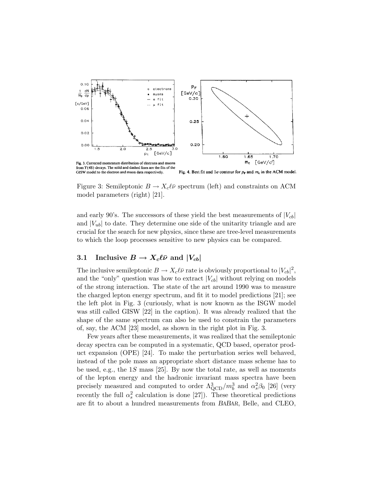

Figure 3: Semileptonic  $B \to X_c \ell \bar{\nu}$  spectrum (left) and constraints on ACM model parameters (right) [21].

and early 90's. The successors of these yield the best measurements of  $|V_{cb}|$ and  $|V_{ub}|$  to date. They determine one side of the unitarity triangle and are crucial for the search for new physics, since these are tree-level measurements to which the loop processes sensitive to new physics can be compared.

#### 3.1 Inclusive  $B \to X_c \ell \bar{\nu}$  and  $|V_{cb}|$

The inclusive semileptonic  $B \to X_c \ell \bar{\nu}$  rate is obviously proportional to  $|V_{cb}|^2$ , and the "only" question was how to extract  $|V_{cb}|$  without relying on models of the strong interaction. The state of the art around 1990 was to measure the charged lepton energy spectrum, and fit it to model predictions [21]; see the left plot in Fig. 3 (curiously, what is now known as the ISGW model was still called GISW [22] in the caption). It was already realized that the shape of the same spectrum can also be used to constrain the parameters of, say, the ACM [23] model, as shown in the right plot in Fig. 3.

Few years after these measurements, it was realized that the semileptonic decay spectra can be computed in a systematic, QCD based, operator product expansion (OPE) [24]. To make the perturbation series well behaved, instead of the pole mass an appropriate short distance mass scheme has to be used, e.g., the 1S mass [25]. By now the total rate, as well as moments of the lepton energy and the hadronic invariant mass spectra have been precisely measured and computed to order  $\Lambda_{\rm QCD}^3/m_b^3$  and  $\alpha_s^2\beta_0$  [26] (very recently the full  $\alpha_s^2$  calculation is done [27]). These theoretical predictions are fit to about a hundred measurements from BABAR, Belle, and CLEO,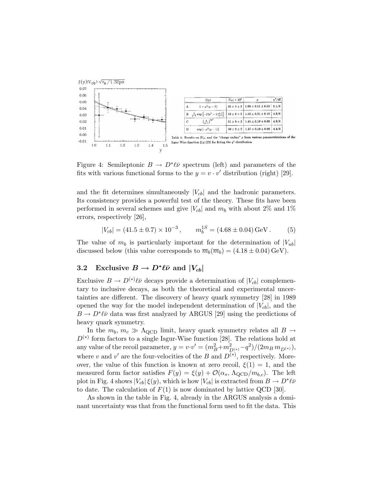

Figure 4: Semileptonic  $B \to D^*\ell\bar{\nu}$  spectrum (left) and parameters of the fits with various functional forms to the  $y = v \cdot v'$  distribution (right) [29].

and the fit determines simultaneously  $|V_{cb}|$  and the hadronic parameters. Its consistency provides a powerful test of the theory. These fits have been performed in several schemes and give  $|V_{cb}|$  and  $m_b$  with about 2% and 1% errors, respectively [26],

$$
|V_{cb}| = (41.5 \pm 0.7) \times 10^{-3}, \qquad m_b^{1S} = (4.68 \pm 0.04) \,\text{GeV}. \tag{5}
$$

The value of  $m_b$  is particularly important for the determination of  $|V_{ub}|$ discussed below (this value corresponds to  $\overline{m}_b(\overline{m}_b) = (4.18 \pm 0.04) \,\text{GeV}$ ).

## 3.2 Exclusive  $B \to D^*\ell\bar{\nu}$  and  $|V_{cb}|$

Exclusive  $B \to D^{(*)} \ell \bar{\nu}$  decays provide a determination of  $|V_{cb}|$  complementary to inclusive decays, as both the theoretical and experimental uncertainties are different. The discovery of heavy quark symmetry [28] in 1989 opened the way for the model independent determination of  $|V_{cb}|$ , and the  $B \to D^* \ell \bar{\nu}$  data was first analyzed by ARGUS [29] using the predictions of heavy quark symmetry.

In the  $m_b, m_c \gg \Lambda_{\rm QCD}$  limit, heavy quark symmetry relates all  $B \to$  $D^{(*)}$  form factors to a single Isgur-Wise function [28]. The relations hold at any value of the recoil parameter,  $y = v \cdot v' = (m_B^2 + m_{D^{(*)}}^2 - q^2)/(2 m_B \, m_{D^{(*)}})$ , where v and v' are the four-velocities of the B and  $D^{(*)}$ , respectively. Moreover, the value of this function is known at zero recoil,  $\xi(1) = 1$ , and the measured form factor satisfies  $F(y) = \xi(y) + \mathcal{O}(\alpha_s, \Lambda_{\text{QCD}}/m_{b,c})$ . The left plot in Fig. 4 shows  $|V_{cb}|\xi(y)$ , which is how  $|V_{cb}|$  is extracted from  $B \to D^*\ell\bar{\nu}$ to date. The calculation of  $F(1)$  is now dominated by lattice QCD [30].

As shown in the table in Fig. 4, already in the ARGUS analysis a dominant uncertainty was that from the functional form used to fit the data. This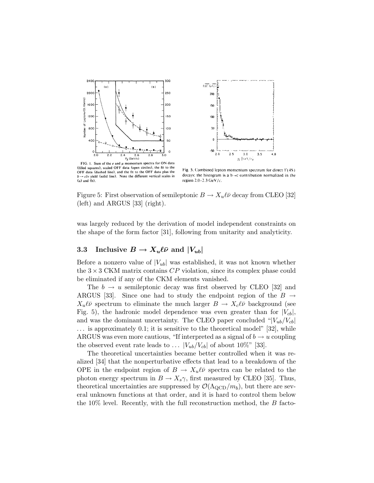



FIG. 1. Sum of the e and  $\mu$  momentum spectra for ON data (filled squares), scaled OFF data (open circles), the fit to the OFF data (dashed line), and the fit to the OFF data plus the  $b \rightarrow c/v$  yield (solid line). Note the different vertical scales in  $(a)$  and  $(b)$ .

Fig. 5. Combined lepton momentum spectrum for direct  $\Upsilon(4S)$ decays: the histogram is a  $b \rightarrow c$  contribution normalized in the region 2.0-2.3 GeV/c.

Figure 5: First observation of semileptonic  $B \to X_u \ell \bar{\nu}$  decay from CLEO [32] (left) and ARGUS [33] (right).

was largely reduced by the derivation of model independent constraints on the shape of the form factor [31], following from unitarity and analyticity.

## 3.3 Inclusive  $B \to X_u \ell \bar{\nu}$  and  $|V_{ub}|$

Before a nonzero value of  $|V_{ub}|$  was established, it was not known whether the  $3 \times 3$  CKM matrix contains  $CP$  violation, since its complex phase could be eliminated if any of the CKM elements vanished.

The  $b \to u$  semileptonic decay was first observed by CLEO [32] and ARGUS [33]. Since one had to study the endpoint region of the  $B \rightarrow$  $X_u\ell\bar{\nu}$  spectrum to eliminate the much larger  $B \to X_c\ell\bar{\nu}$  background (see Fig. 5), the hadronic model dependence was even greater than for  $|V_{cb}|$ , and was the dominant uncertainty. The CLEO paper concluded " $|V_{ub}/V_{cb}|$ ... is approximately 0.1; it is sensitive to the theoretical model" [32], while ARGUS was even more cautious, "If interpreted as a signal of  $b \to u$  coupling the observed event rate leads to ...  $|V_{ub}/V_{cb}|$  of about 10%" [33].

The theoretical uncertainties became better controlled when it was realized [34] that the nonperturbative effects that lead to a breakdown of the OPE in the endpoint region of  $B \to X_u \ell \bar{\nu}$  spectra can be related to the photon energy spectrum in  $B \to X_s \gamma$ , first measured by CLEO [35]. Thus, theoretical uncertainties are suppressed by  $\mathcal{O}(\Lambda_{\text{QCD}}/m_b)$ , but there are several unknown functions at that order, and it is hard to control them below the 10% level. Recently, with the full reconstruction method, the  $B$  facto-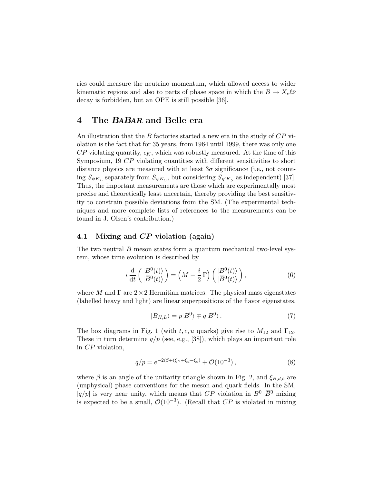ries could measure the neutrino momentum, which allowed access to wider kinematic regions and also to parts of phase space in which the  $B \to X_c \ell \bar{\nu}$ decay is forbidden, but an OPE is still possible [36].

### 4 The BABAR and Belle era

An illustration that the B factories started a new era in the study of  $CP$  violation is the fact that for 35 years, from 1964 until 1999, there was only one  $\mathbb{CP}$  violating quantity,  $\epsilon_K$ , which was robustly measured. At the time of this Symposium, 19 CP violating quantities with different sensitivities to short distance physics are measured with at least  $3\sigma$  significance (i.e., not counting  $S_{\psi K_L}$  separately from  $S_{\psi K_S}$ , but considering  $S_{\eta' K_S}$  as independent) [37]. Thus, the important measurements are those which are experimentally most precise and theoretically least uncertain, thereby providing the best sensitivity to constrain possible deviations from the SM. (The experimental techniques and more complete lists of references to the measurements can be found in J. Olsen's contribution.)

### 4.1 Mixing and CP violation (again)

The two neutral B meson states form a quantum mechanical two-level system, whose time evolution is described by

$$
i\frac{\mathrm{d}}{\mathrm{d}t}\left(\frac{|B^{0}(t)\rangle}{|B^{0}(t)\rangle}\right) = \left(M - \frac{i}{2}\,\Gamma\right)\left(\frac{|B^{0}(t)\rangle}{|B^{0}(t)\rangle}\right),\tag{6}
$$

where M and  $\Gamma$  are  $2 \times 2$  Hermitian matrices. The physical mass eigenstates (labelled heavy and light) are linear superpositions of the flavor eigenstates,

$$
|B_{H,L}\rangle = p|B^0\rangle \mp q|\overline{B}^0\rangle. \tag{7}
$$

The box diagrams in Fig. 1 (with t, c, u quarks) give rise to  $M_{12}$  and  $\Gamma_{12}$ . These in turn determine  $q/p$  (see, e.g., [38]), which plays an important role in CP violation,

$$
q/p = e^{-2i\beta + (\xi_B + \xi_d - \xi_b)} + \mathcal{O}(10^{-3}),
$$
\n(8)

where  $\beta$  is an angle of the unitarity triangle shown in Fig. 2, and  $\xi_{B,d,b}$  are (unphysical) phase conventions for the meson and quark fields. In the SM,  $|q/p|$  is very near unity, which means that CP violation in  $B^0-\overline{B}{}^0$  mixing is expected to be a small,  $\mathcal{O}(10^{-3})$ . (Recall that  $CP$  is violated in mixing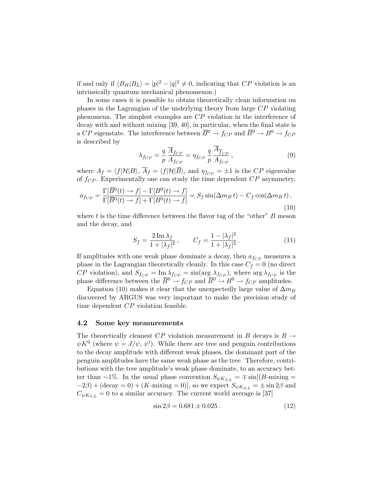if and only if  $\langle B_H | B_L \rangle = |p|^2 - |q|^2 \neq 0$ , indicating that CP violation is an intrinsically quantum mechanical phenomenon.)

In some cases it is possible to obtain theoretically clean information on phases in the Lagrangian of the underlying theory from large CP violating phenomena. The simplest examples are CP violation in the interference of decay with and without mixing [39, 40], in particular, when the final state is a CP eigenstate. The interference between  $\overline{B}^0 \to f_{CP}$  and  $\overline{B}^0 \to B^0 \to f_{CP}$ is described by

$$
\lambda_{f_{CP}} = \frac{q}{p} \frac{\overline{A}_{f_{CP}}}{A_{f_{CP}}} = \eta_{f_{CP}} \frac{q}{p} \frac{\overline{A}_{\overline{f}_{CP}}}{A_{f_{CP}}},\tag{9}
$$

where  $A_f = \langle f|\mathcal{H}|B\rangle$ ,  $\overline{A}_f = \langle f|\mathcal{H}|\overline{B}\rangle$ , and  $\eta_{fCP} = \pm 1$  is the CP eigenvalue of  $f_{CP}$ . Experimentally one can study the time dependent  $CP$  asymmetry,

$$
a_{fCP} = \frac{\Gamma[\overline{B}^0(t) \to f] - \Gamma[B^0(t) \to f]}{\Gamma[\overline{B}^0(t) \to f] + \Gamma[B^0(t) \to f]} = S_f \sin(\Delta m_B t) - C_f \cos(\Delta m_B t),
$$
\n(10)

where t is the time difference between the flavor tag of the "other"  $B$  meson and the decay, and

$$
S_f = \frac{2\,\mathrm{Im}\,\lambda_f}{1 + |\lambda_f|^2} \,, \qquad C_f = \frac{1 - |\lambda_f|^2}{1 + |\lambda_f|^2} \,. \tag{11}
$$

If amplitudes with one weak phase dominate a decay, then  $a_{fCP}$  measures a phase in the Lagrangian theoretically cleanly. In this case  $C_f = 0$  (no direct  $CP$  violation), and  $S_{fCP} = \text{Im }\lambda_{fCP} = \sin(\arg \lambda_{fCP})$ , where  $\arg \lambda_{fCP}$  is the phase difference between the  $\overline{B}^0 \to f_{CP}$  and  $\overline{B}^0 \to B^0 \to f_{CP}$  amplitudes.

Equation (10) makes it clear that the unexpectedly large value of  $\Delta m_B$ discovered by ARGUS was very important to make the precision study of time dependent CP violation feasible.

#### 4.2 Some key measurements

The theoretically cleanest  $CP$  violation measurement in B decays is  $B \rightarrow$  $\psi K^0$  (where  $\psi = J/\psi, \psi'$ ). While there are tree and penguin contributions to the decay amplitude with different weak phases, the dominant part of the penguin amplitudes have the same weak phase as the tree. Therefore, contributions with the tree amplitude's weak phase dominate, to an accuracy better than ~1%. In the usual phase convention  $S_{\psi K_{S,L}} = \mp \sin[(B-\text{mixing} =$  $-2\beta$ ) + (decay = 0) + (K-mixing = 0)], so we expect  $S_{\psi K_{S,L}} = \pm \sin 2\beta$  and  $C_{\psi K_{SL}} = 0$  to a similar accuracy. The current world average is [37]

$$
\sin 2\beta = 0.681 \pm 0.025. \tag{12}
$$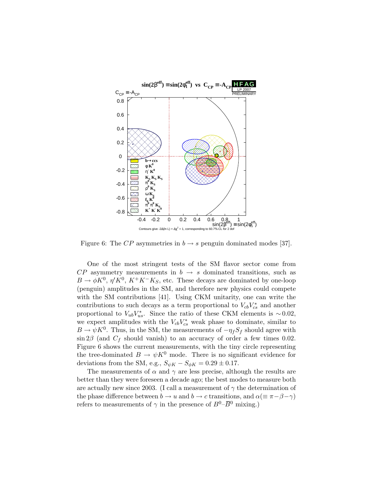

Figure 6: The CP asymmetries in  $b \rightarrow s$  penguin dominated modes [37].

One of the most stringent tests of the SM flavor sector come from  $CP$  asymmetry measurements in  $b \rightarrow s$  dominated transitions, such as  $B \to \phi K^0$ ,  $\eta' K^0$ ,  $K^+ K^- K_S$ , etc. These decays are dominated by one-loop (penguin) amplitudes in the SM, and therefore new physics could compete with the SM contributions [41]. Using CKM unitarity, one can write the contributions to such decays as a term proportional to  $V_{cb}V_{cs}^*$  and another proportional to  $V_{ub}V_{us}^*$ . Since the ratio of these CKM elements is ~0.02, we expect amplitudes with the  $V_{cb}V_{cs}^*$  weak phase to dominate, similar to  $B \to \psi K^0$ . Thus, in the SM, the measurements of  $-\eta_f S_f$  should agree with  $\sin 2\beta$  (and  $C_f$  should vanish) to an accuracy of order a few times 0.02. Figure 6 shows the current measurements, with the tiny circle representing the tree-dominated  $B \to \psi K^0$  mode. There is no significant evidence for deviations from the SM, e.g.,  $S_{\psi K} - S_{\phi K} = 0.29 \pm 0.17$ .

The measurements of  $\alpha$  and  $\gamma$  are less precise, although the results are better than they were foreseen a decade ago; the best modes to measure both are actually new since 2003. (I call a measurement of  $\gamma$  the determination of the phase difference between  $b \to u$  and  $b \to c$  transitions, and  $\alpha (\equiv \pi - \beta - \gamma)$ refers to measurements of  $\gamma$  in the presence of  $B^0$ – $\overline{B}{}^0$  mixing.)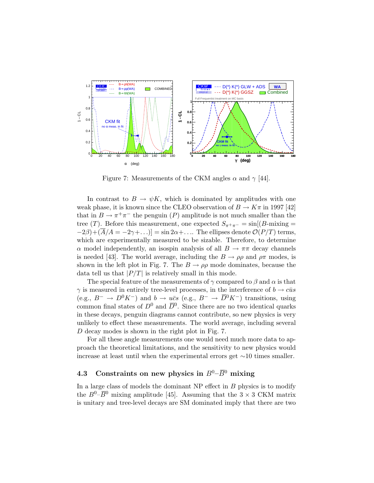

Figure 7: Measurements of the CKM angles  $\alpha$  and  $\gamma$  [44].

In contrast to  $B \to \psi K$ , which is dominated by amplitudes with one weak phase, it is known since the CLEO observation of  $B \to K\pi$  in 1997 [42] that in  $B \to \pi^+\pi^-$  the penguin (P) amplitude is not much smaller than the tree (T). Before this measurement, one expected  $S_{\pi^+\pi^-} = \sin[(B-\text{mixing} =$  $(-2\beta)+(\overline{A}/A=-2\gamma+\ldots)]=\sin 2\alpha+\ldots$  The ellipses denote  $\mathcal{O}(P/T)$  terms, which are experimentally measured to be sizable. Therefore, to determine  $\alpha$  model independently, an isospin analysis of all  $B \to \pi\pi$  decay channels is needed [43]. The world average, including the  $B \to \rho \rho$  and  $\rho \pi$  modes, is shown in the left plot in Fig. 7. The  $B \to \rho \rho$  mode dominates, because the data tell us that  $|P/T|$  is relatively small in this mode.

The special feature of the measurements of  $\gamma$  compared to  $\beta$  and  $\alpha$  is that  $\gamma$  is measured in entirely tree-level processes, in the interference of  $b \rightarrow c \bar{u} s$ (e.g.,  $B^- \to D^0 K^-$ ) and  $b \to u\bar{c}s$  (e.g.,  $B^- \to \bar{D}^0 K^-$ ) transitions, using common final states of  $D^0$  and  $\overline{D}{}^0$ . Since there are no two identical quarks in these decays, penguin diagrams cannot contribute, so new physics is very unlikely to effect these measurements. The world average, including several D decay modes is shown in the right plot in Fig. 7.

For all these angle measurements one would need much more data to approach the theoretical limitations, and the sensitivity to new physics would increase at least until when the experimental errors get ∼10 times smaller.

## 4.3 Constraints on new physics in  $B^0$ – $\overline{B}{}^0$  mixing

In a large class of models the dominant  $NP$  effect in  $B$  physics is to modify the  $B^0$ – $\overline{B}{}^0$  mixing amplitude [45]. Assuming that the 3 × 3 CKM matrix is unitary and tree-level decays are SM dominated imply that there are two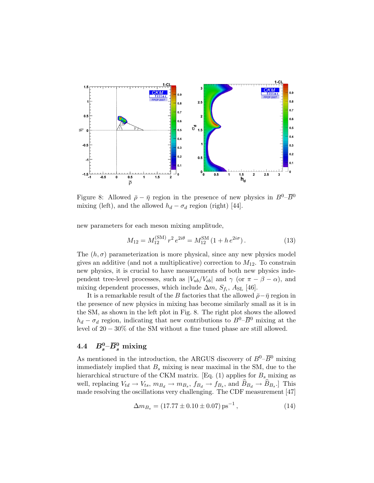

Figure 8: Allowed  $\bar{\rho} - \bar{\eta}$  region in the presence of new physics in  $B^0-\overline{B}{}^0$ mixing (left), and the allowed  $h_d - \sigma_d$  region (right) [44].

new parameters for each meson mixing amplitude,

$$
M_{12} = M_{12}^{(\text{SM})} r^2 e^{2i\theta} = M_{12}^{\text{SM}} (1 + h e^{2i\sigma}). \tag{13}
$$

The  $(h, \sigma)$  parameterization is more physical, since any new physics model gives an additive (and not a multiplicative) correction to  $M_{12}$ . To constrain new physics, it is crucial to have measurements of both new physics independent tree-level processes, such as  $|V_{ub}/V_{cb}|$  and  $\gamma$  (or  $\pi - \beta - \alpha$ ), and mixing dependent processes, which include  $\Delta m$ ,  $S_{f_i}$ ,  $A_{SL}$  [46].

It is a remarkable result of the B factories that the allowed  $\bar{\rho}-\bar{\eta}$  region in the presence of new physics in mixing has become similarly small as it is in the SM, as shown in the left plot in Fig. 8. The right plot shows the allowed  $h_d - \sigma_d$  region, indicating that new contributions to  $B^0 - \overline{B}{}^0$  mixing at the level of 20 − 30% of the SM without a fine tuned phase are still allowed.

# $4.4\quad B_s^0\!\!-\!\!\bar{B}_s^0 \stackrel{\bmod}{=}$  mixing

As mentioned in the introduction, the ARGUS discovery of  $B^0$ – $\overline{B}{}^0$  mixing immediately implied that  $B_s$  mixing is near maximal in the SM, due to the hierarchical structure of the CKM matrix. [Eq.  $(1)$  applies for  $B<sub>s</sub>$  mixing as well, replacing  $V_{td} \rightarrow V_{ts}$ ,  $m_{B_d} \rightarrow m_{B_s}$ ,  $f_{B_d} \rightarrow f_{B_s}$ , and  $B_{B_d} \rightarrow B_{B_s}$ . This made resolving the oscillations very challenging. The CDF measurement [47]

$$
\Delta m_{B_s} = (17.77 \pm 0.10 \pm 0.07) \,\text{ps}^{-1} \,,\tag{14}
$$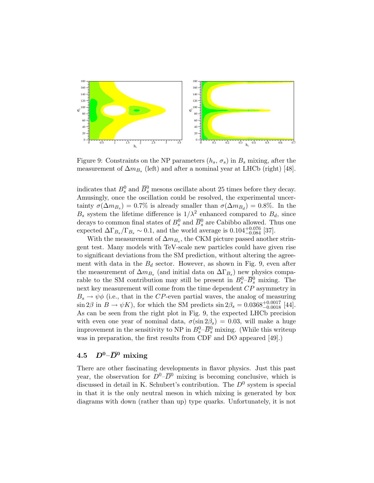

Figure 9: Constraints on the NP parameters  $(h_s, \sigma_s)$  in  $B_s$  mixing, after the measurement of  $\Delta m_{B_s}$  (left) and after a nominal year at LHCb (right) [48].

indicates that  $B_s^0$  and  $\overline{B}_s^0$  mesons oscillate about 25 times before they decay. Amusingly, once the oscillation could be resolved, the experimental uncertainty  $\sigma(\Delta m_{B_s}) = 0.7\%$  is already smaller than  $\sigma(\Delta m_{B_d}) = 0.8\%$ . In the  $B_s$  system the lifetime difference is  $1/\lambda^2$  enhanced compared to  $B_d$ , since decays to common final states of  $B_s^0$  and  $\overline{B}_s^0$  are Cabibbo allowed. Thus one expected  $\Delta \Gamma_{B_s} / \Gamma_{B_s} \sim 0.1$ , and the world average is  $0.104_{-0.084}^{+0.076}$  [37].

With the measurement of  $\Delta m_{B_s}$ , the CKM picture passed another stringent test. Many models with TeV-scale new particles could have given rise to significant deviations from the SM prediction, without altering the agreement with data in the  $B_d$  sector. However, as shown in Fig. 9, even after the measurement of  $\Delta m_{B_s}$  (and initial data on  $\Delta \Gamma_{B_s}$ ) new physics comparable to the SM contribution may still be present in  $B_s^0$ - $\overline{B}_s^0$  mixing. The next key measurement will come from the time dependent CP asymmetry in  $B_s \to \psi \phi$  (i.e., that in the CP-even partial waves, the analog of measuring  $\sin 2\beta$  in  $B \to \psi K$ ), for which the SM predicts  $\sin 2\beta_s = 0.0368^{+0.0017}_{-0.0018}$  [44]. As can be seen from the right plot in Fig. 9, the expected LHCb precision with even one year of nominal data,  $\sigma(\sin 2\beta_s) = 0.03$ , will make a huge improvement in the sensitivity to NP in  $B_s^0$ - $\overline{B}_s^0$  mixing. (While this writeup was in preparation, the first results from CDF and DØ appeared [49].)

### 4.5  $D^0$ - $\overline{D}{}^0$  mixing

There are other fascinating developments in flavor physics. Just this past year, the observation for  $D^0$ – $\overline{D}{}^0$  mixing is becoming conclusive, which is discussed in detail in K. Schubert's contribution. The  $D^0$  system is special in that it is the only neutral meson in which mixing is generated by box diagrams with down (rather than up) type quarks. Unfortunately, it is not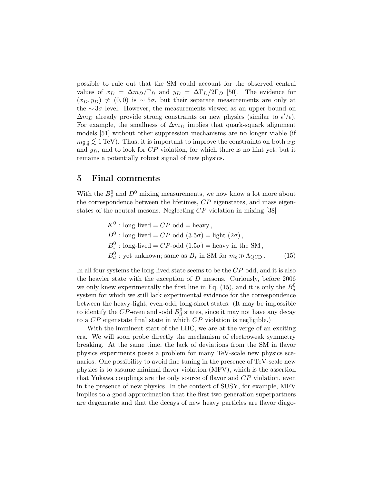possible to rule out that the SM could account for the observed central values of  $x_D = \Delta m_D/\Gamma_D$  and  $y_D = \Delta \Gamma_D/2\Gamma_D$  [50]. The evidence for  $(x_D, y_D) \neq (0, 0)$  is ~ 5σ, but their separate measurements are only at the ∼3 $\sigma$  level. However, the measurements viewed as an upper bound on  $\Delta m_D$  already provide strong constraints on new physics (similar to  $\epsilon'/\epsilon$ ). For example, the smallness of  $\Delta m_D$  implies that quark-squark alignment models [51] without other suppression mechanisms are no longer viable (if  $m_{\tilde{g},\tilde{g}} \lesssim 1 \,\text{TeV}$ ). Thus, it is important to improve the constraints on both  $x_D$ and  $y_D$ , and to look for  $CP$  violation, for which there is no hint yet, but it remains a potentially robust signal of new physics.

### 5 Final comments

With the  $B_s^0$  and  $D^0$  mixing measurements, we now know a lot more about the correspondence between the lifetimes, CP eigenstates, and mass eigenstates of the neutral mesons. Neglecting CP violation in mixing [38]

> $K^0$ : long-lived =  $CP$ -odd = heavy,  $D^0$ : long-lived =  $CP$ -odd  $(3.5\sigma)$  = light  $(2\sigma)$ ,  $B_s^0$ : long-lived =  $CP$ -odd  $(1.5\sigma)$  = heavy in the SM,  $B_d^0$ : yet unknown; same as  $B_s$  in SM for  $m_b \gg \Lambda_{\rm QCD}$ . (15)

In all four systems the long-lived state seems to be the CP-odd, and it is also the heavier state with the exception of  $D$  mesons. Curiously, before 2006 we only knew experimentally the first line in Eq. (15), and it is only the  $B_d^0$ system for which we still lack experimental evidence for the correspondence between the heavy-light, even-odd, long-short states. (It may be impossible to identify the  $CP$ -even and -odd  $B_d^0$  states, since it may not have any decay to a  $\mathbb{CP}$  eigenstate final state in which  $\mathbb{CP}$  violation is negligible.)

With the imminent start of the LHC, we are at the verge of an exciting era. We will soon probe directly the mechanism of electroweak symmetry breaking. At the same time, the lack of deviations from the SM in flavor physics experiments poses a problem for many TeV-scale new physics scenarios. One possibility to avoid fine tuning in the presence of TeV-scale new physics is to assume minimal flavor violation (MFV), which is the assertion that Yukawa couplings are the only source of flavor and  $CP$  violation, even in the presence of new physics. In the context of SUSY, for example, MFV implies to a good approximation that the first two generation superpartners are degenerate and that the decays of new heavy particles are flavor diago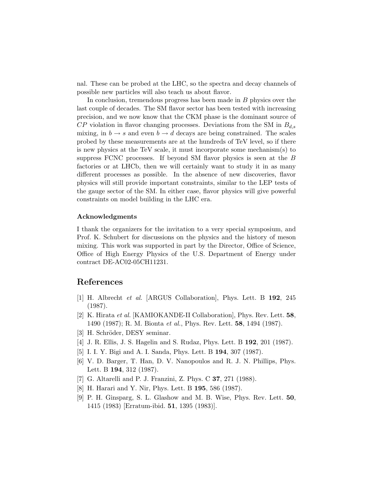nal. These can be probed at the LHC, so the spectra and decay channels of possible new particles will also teach us about flavor.

In conclusion, tremendous progress has been made in  $B$  physics over the last couple of decades. The SM flavor sector has been tested with increasing precision, and we now know that the CKM phase is the dominant source of  $CP$  violation in flavor changing processes. Deviations from the SM in  $B_{d,s}$ mixing, in  $b \to s$  and even  $b \to d$  decays are being constrained. The scales probed by these measurements are at the hundreds of TeV level, so if there is new physics at the TeV scale, it must incorporate some mechanism(s) to suppress FCNC processes. If beyond SM flavor physics is seen at the B factories or at LHCb, then we will certainly want to study it in as many different processes as possible. In the absence of new discoveries, flavor physics will still provide important constraints, similar to the LEP tests of the gauge sector of the SM. In either case, flavor physics will give powerful constraints on model building in the LHC era.

#### Acknowledgments

I thank the organizers for the invitation to a very special symposium, and Prof. K. Schubert for discussions on the physics and the history of meson mixing. This work was supported in part by the Director, Office of Science, Office of High Energy Physics of the U.S. Department of Energy under contract DE-AC02-05CH11231.

### References

- [1] H. Albrecht et al. [ARGUS Collaboration], Phys. Lett. B 192, 245 (1987).
- [2] K. Hirata et al. [KAMIOKANDE-II Collaboration], Phys. Rev. Lett. 58, 1490 (1987); R. M. Bionta et al., Phys. Rev. Lett. 58, 1494 (1987).
- [3] H. Schröder, DESY seminar.
- [4] J. R. Ellis, J. S. Hagelin and S. Rudaz, Phys. Lett. B 192, 201 (1987).
- [5] I. I. Y. Bigi and A. I. Sanda, Phys. Lett. B 194, 307 (1987).
- [6] V. D. Barger, T. Han, D. V. Nanopoulos and R. J. N. Phillips, Phys. Lett. B 194, 312 (1987).
- [7] G. Altarelli and P. J. Franzini, Z. Phys. C 37, 271 (1988).
- [8] H. Harari and Y. Nir, Phys. Lett. B 195, 586 (1987).
- [9] P. H. Ginsparg, S. L. Glashow and M. B. Wise, Phys. Rev. Lett. 50, 1415 (1983) [Erratum-ibid. 51, 1395 (1983)].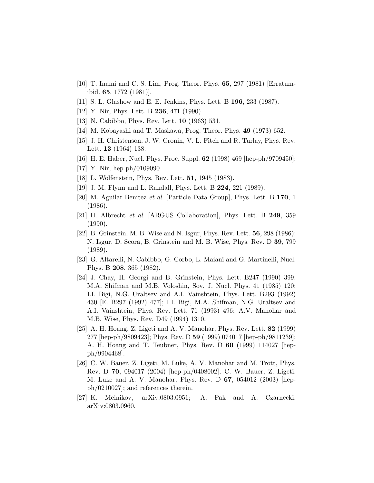- [10] T. Inami and C. S. Lim, Prog. Theor. Phys. 65, 297 (1981) [Erratumibid. 65, 1772 (1981)].
- [11] S. L. Glashow and E. E. Jenkins, Phys. Lett. B 196, 233 (1987).
- [12] Y. Nir, Phys. Lett. B **236**, 471 (1990).
- [13] N. Cabibbo, Phys. Rev. Lett. **10** (1963) 531.
- [14] M. Kobayashi and T. Maskawa, Prog. Theor. Phys. 49 (1973) 652.
- [15] J. H. Christenson, J. W. Cronin, V. L. Fitch and R. Turlay, Phys. Rev. Lett. 13 (1964) 138.
- [16] H. E. Haber, Nucl. Phys. Proc. Suppl. 62 (1998) 469 [hep-ph/9709450];
- [17] Y. Nir, hep-ph/0109090.
- [18] L. Wolfenstein, Phys. Rev. Lett. 51, 1945 (1983).
- [19] J. M. Flynn and L. Randall, Phys. Lett. B 224, 221 (1989).
- [20] M. Aguilar-Benitez et al. [Particle Data Group], Phys. Lett. B 170, 1 (1986).
- [21] H. Albrecht et al. [ARGUS Collaboration], Phys. Lett. B 249, 359 (1990).
- [22] B. Grinstein, M. B. Wise and N. Isgur, Phys. Rev. Lett. 56, 298 (1986); N. Isgur, D. Scora, B. Grinstein and M. B. Wise, Phys. Rev. D 39, 799 (1989).
- [23] G. Altarelli, N. Cabibbo, G. Corbo, L. Maiani and G. Martinelli, Nucl. Phys. B 208, 365 (1982).
- [24] J. Chay, H. Georgi and B. Grinstein, Phys. Lett. B247 (1990) 399; M.A. Shifman and M.B. Voloshin, Sov. J. Nucl. Phys. 41 (1985) 120; I.I. Bigi, N.G. Uraltsev and A.I. Vainshtein, Phys. Lett. B293 (1992) 430 [E. B297 (1992) 477]; I.I. Bigi, M.A. Shifman, N.G. Uraltsev and A.I. Vainshtein, Phys. Rev. Lett. 71 (1993) 496; A.V. Manohar and M.B. Wise, Phys. Rev. D49 (1994) 1310.
- [25] A. H. Hoang, Z. Ligeti and A. V. Manohar, Phys. Rev. Lett. 82 (1999) 277 [hep-ph/9809423]; Phys. Rev. D 59 (1999) 074017 [hep-ph/9811239]; A. H. Hoang and T. Teubner, Phys. Rev. D 60 (1999) 114027 [hepph/9904468].
- [26] C. W. Bauer, Z. Ligeti, M. Luke, A. V. Manohar and M. Trott, Phys. Rev. D 70, 094017 (2004) [hep-ph/0408002]; C. W. Bauer, Z. Ligeti, M. Luke and A. V. Manohar, Phys. Rev. D 67, 054012 (2003) [hepph/0210027]; and references therein.
- [27] K. Melnikov, arXiv:0803.0951; A. Pak and A. Czarnecki, arXiv:0803.0960.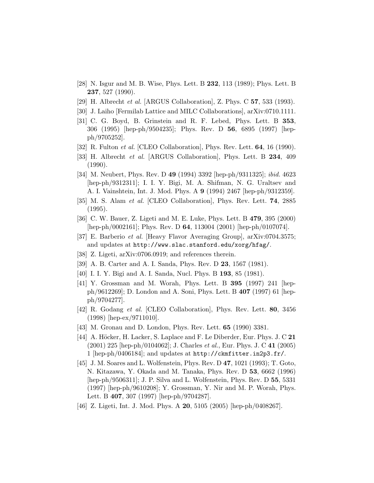- [28] N. Isgur and M. B. Wise, Phys. Lett. B 232, 113 (1989); Phys. Lett. B 237, 527 (1990).
- [29] H. Albrecht et al. [ARGUS Collaboration], Z. Phys. C 57, 533 (1993).
- [30] J. Laiho [Fermilab Lattice and MILC Collaborations], arXiv:0710.1111.
- [31] C. G. Boyd, B. Grinstein and R. F. Lebed, Phys. Lett. B 353, 306 (1995) [hep-ph/9504235]; Phys. Rev. D 56, 6895 (1997) [hepph/9705252].
- [32] R. Fulton *et al.* [CLEO Collaboration], Phys. Rev. Lett. **64**, 16 (1990).
- [33] H. Albrecht et al. [ARGUS Collaboration], Phys. Lett. B 234, 409 (1990).
- [34] M. Neubert, Phys. Rev. D 49 (1994) 3392 [hep-ph/9311325]; ibid. 4623 [hep-ph/9312311]; I. I. Y. Bigi, M. A. Shifman, N. G. Uraltsev and A. I. Vainshtein, Int. J. Mod. Phys. A 9 (1994) 2467 [hep-ph/9312359].
- [35] M. S. Alam et al. [CLEO Collaboration], Phys. Rev. Lett. 74, 2885 (1995).
- [36] C. W. Bauer, Z. Ligeti and M. E. Luke, Phys. Lett. B 479, 395 (2000) [hep-ph/0002161]; Phys. Rev. D 64, 113004 (2001) [hep-ph/0107074].
- [37] E. Barberio et al. [Heavy Flavor Averaging Group], arXiv:0704.3575; and updates at http://www.slac.stanford.edu/xorg/hfag/.
- [38] Z. Ligeti, arXiv:0706.0919; and references therein.
- [39] A. B. Carter and A. I. Sanda, Phys. Rev. D 23, 1567 (1981).
- [40] I. I. Y. Bigi and A. I. Sanda, Nucl. Phys. B 193, 85 (1981).
- [41] Y. Grossman and M. Worah, Phys. Lett. B 395 (1997) 241 [hepph/9612269]; D. London and A. Soni, Phys. Lett. B 407 (1997) 61 [hepph/9704277].
- [42] R. Godang et al. [CLEO Collaboration], Phys. Rev. Lett. 80, 3456 (1998) [hep-ex/9711010].
- [43] M. Gronau and D. London, Phys. Rev. Lett. 65 (1990) 3381.
- [44] A. Höcker, H. Lacker, S. Laplace and F. Le Diberder, Eur. Phys. J. C  $21$ (2001) 225 [hep-ph/0104062]; J. Charles et al., Eur. Phys. J. C 41 (2005) 1 [hep-ph/0406184]; and updates at http://ckmfitter.in2p3.fr/.
- [45] J. M. Soares and L. Wolfenstein, Phys. Rev. D 47, 1021 (1993); T. Goto, N. Kitazawa, Y. Okada and M. Tanaka, Phys. Rev. D 53, 6662 (1996) [hep-ph/9506311]; J. P. Silva and L. Wolfenstein, Phys. Rev. D 55, 5331 (1997) [hep-ph/9610208]; Y. Grossman, Y. Nir and M. P. Worah, Phys. Lett. B 407, 307 (1997) [hep-ph/9704287].
- [46] Z. Ligeti, Int. J. Mod. Phys. A **20**, 5105 (2005) [hep-ph/0408267].